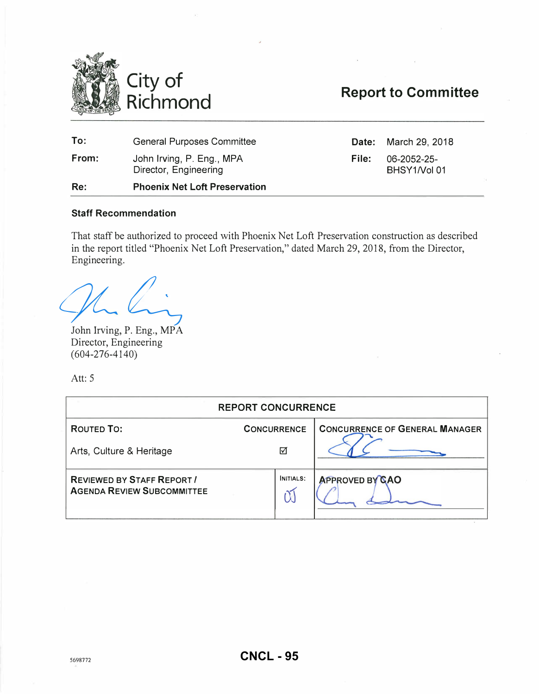

# Report to Committee

| Re:   | <b>Phoenix Net Loft Preservation</b>               |       |                             |
|-------|----------------------------------------------------|-------|-----------------------------|
| From: | John Irving, P. Eng., MPA<br>Director, Engineering | File: | 06-2052-25-<br>BHSY1/Vol 01 |
| To:   | <b>General Purposes Committee</b>                  |       | <b>Date:</b> March 29, 2018 |

# Staff Recommendation

That staff be authorized to proceed with Phoenix Net Loft Preservation construction as described in the report titled "Phoenix Net Loft Preservation," dated March 29, 2018, from the Director, Engineering.

ghting

John Irving, P. Eng., MPA Director, Engineering (604-276-4140)

Att: 5

| <b>REPORT CONCURRENCE</b>                                              |                    |                                       |  |  |  |
|------------------------------------------------------------------------|--------------------|---------------------------------------|--|--|--|
| ROUTED TO:                                                             | <b>CONCURRENCE</b> | <b>CONCURRENCE OF GENERAL MANAGER</b> |  |  |  |
| Arts, Culture & Heritage                                               | ☑                  |                                       |  |  |  |
| <b>REVIEWED BY STAFF REPORT /</b><br><b>AGENDA REVIEW SUBCOMMITTEE</b> | INITIALS:          | <b>APPROVED BY CAO</b>                |  |  |  |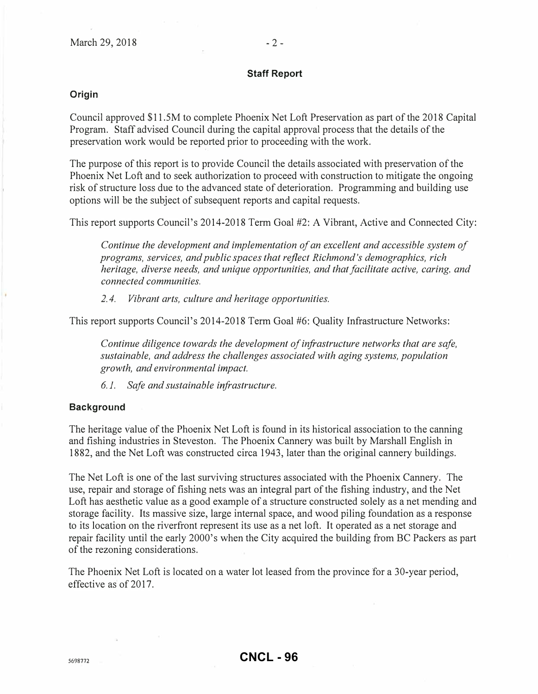#### Staff Report

#### Origin

Council approved \$11.5M to complete Phoenix Net Loft Preservation as part of the 2018 Capital Program. Staff advised Council during the capital approval process that the details of the preservation work would be reported prior to proceeding with the work.

The purpose of this report is to provide Council the details associated with preservation of the Phoenix Net Loft and to seek authorization to proceed with construction to mitigate the ongoing risk of structure loss due to the advanced state of deterioration. Programming and building use options will be the subject of subsequent reports and capital requests.

This report supports Council's 2014-2018 Term Goal #2: A Vibrant, Active and Connected City:

Continue the development and implementation of an excellent and accessible system of programs, services, and public spaces that reflect Richmond's demographics, rich heritage, diverse needs, and unique opportunities, and that facilitate active, caring, and connected communities.

2. 4. Vibrant arts, culture and heritage opportunities.

This report supports Council's 2014-2018 Term Goal #6: Quality Infrastructure Networks:

Continue diligence towards the development of infrastructure networks that are safe, sustainable, and address the challenges associated with aging systems, population growth, and environmental impact.

6.1. Safe and sustainable infrastructure.

#### **Background**

The heritage value of the Phoenix Net Loft is found in its historical association to the canning and fishing industries in Steveston. The Phoenix Cannery was built by Marshall English in 1882, and the Net Loft was constructed circa 1943, later than the original cannery buildings.

The Net Loft is one of the last surviving structures associated with the Phoenix Cannery. The use, repair and storage of fishing nets was an integral part of the fishing industry, and the Net Loft has aesthetic value as a good example of a structure constructed solely as a net mending and storage facility. Its massive size, large internal space, and wood piling foundation as a response to its location on the riverfront represent its use as a net loft. It operated as a net storage and repair facility until the early 2000's when the City acquired the building from BC Packers as part of the rezoning considerations.

The Phoenix Net Loft is located on a water lot leased from the province for a 30-year period, effective as of 2017.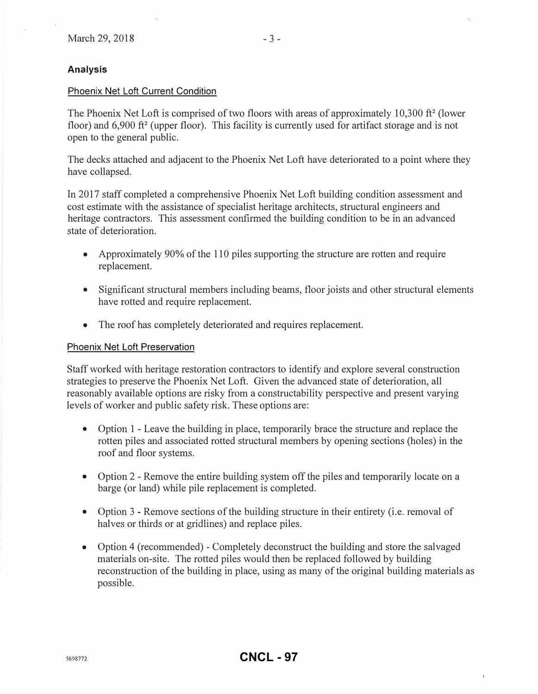#### Analysis

#### Phoenix Net Loft Current Condition

The Phoenix Net Loft is comprised of two floors with areas of approximately 10,300 ft<sup>2</sup> (lower floor) and  $6,900$  ft<sup>2</sup> (upper floor). This facility is currently used for artifact storage and is not open to the general public.

The decks attached and adjacent to the Phoenix Net Loft have deteriorated to a point where they have collapsed.

In 2017 staff completed a comprehensive Phoenix Net Loft building condition assessment and cost estimate with the assistance of specialist heritage architects, structural engineers and heritage contractors. This assessment confirmed the building condition to be in an advanced state of deterioration.

- Approximately 90% of the 110 piles supporting the structure are rotten and require replacement.
- Significant structural members including beams, floor joists and other structural elements have rotted and require replacement.
- The roof has completely deteriorated and requires replacement.

#### Phoenix Net Loft Preservation

Staff worked with heritage restoration contractors to identify and explore several construction strategies to preserve the Phoenix Net Loft. Given the advanced state of deterioration, all reasonably available options are risky from a constructability perspective and present varying levels of worker and public safety risk. These options are:

- Option 1 Leave the building in place, temporarily brace the structure and replace the rotten piles and associated rotted structural members by opening sections (holes) in the roof and floor systems.
- Option 2 Remove the entire building system off the piles and temporarily locate on a barge (or land) while pile replacement is completed.
- Option 3 Remove sections of the building structure in their entirety (i.e. removal of halves or thirds or at gridlines) and replace piles.
- Option 4 (recommended) Completely deconstruct the building and store the salvaged materials on-site. The rotted piles would then be replaced followed by building reconstruction of the building in place, using as many of the original building materials as possible.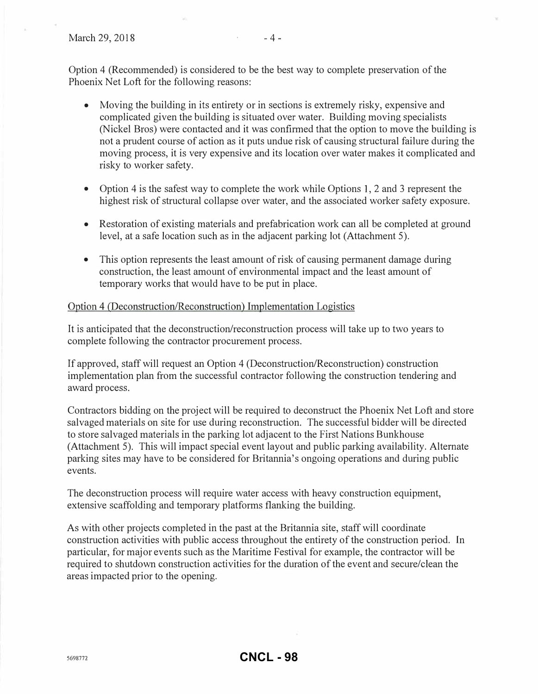Option 4 (Recommended) is considered to be the best way to complete preservation of the Phoenix Net Loft for the following reasons:

- Moving the building in its entirety or in sections is extremely risky, expensive and complicated given the building is situated over water. Building moving specialists (Nickel Bros) were contacted and it was confirmed that the option to move the building is not a prudent course of action as it puts undue risk of causing structural failure during the moving process, it is very expensive and its location over water makes it complicated and risky to worker safety.
- Option 4 is the safest way to complete the work while Options 1, 2 and 3 represent the highest risk of structural collapse over water, and the associated worker safety exposure.
- Restoration of existing materials and prefabrication work can all be completed at ground level, at a safe location such as in the adjacent parking lot (Attachment 5).
- This option represents the least amount of risk of causing permanent damage during construction, the least amount of environmental impact and the least amount of temporary works that would have to be put in place.

# Option 4 (Deconstruction/Reconstruction) Implementation Logistics

It is anticipated that the deconstruction/reconstruction process will take up to two years to complete following the contractor procurement process.

If approved, staff will request an Option 4 (Deconstruction/Reconstruction) construction implementation plan from the successful contractor following the construction tendering and award process.

Contractors bidding on the project will be required to deconstruct the Phoenix Net Loft and store salvaged materials on site for use during reconstruction. The successful bidder will be directed to store salvaged materials in the parking lot adjacent to the First Nations Bunkhouse (Attachment 5). This will impact special event layout and public parking availability. Alternate parking sites may have to be considered for Britannia's ongoing operations and during public events.

The deconstruction process will require water access with heavy construction equipment, extensive scaffolding and temporary platforms flanking the building.

As with other projects completed in the past at the Britannia site, staff will coordinate construction activities with public access throughout the entirety of the construction period. In particular, for major events such as the Maritime Festival for example, the contractor will be required to shutdown construction activities for the duration of the event and secure/clean the areas impacted prior to the opening.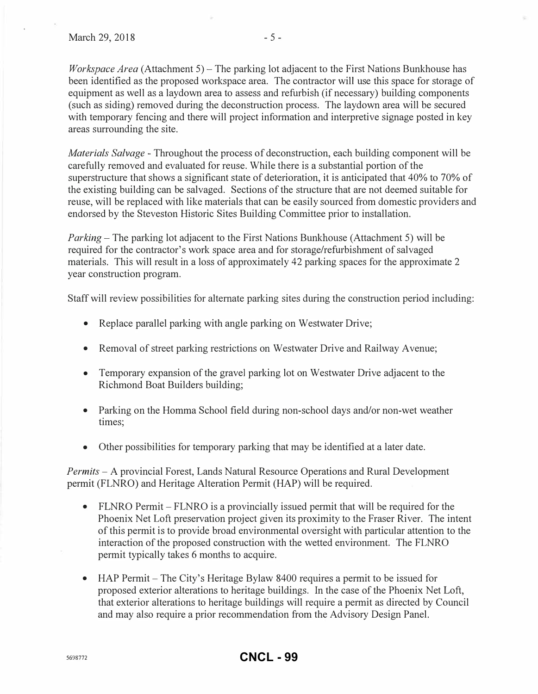*Workspace Area* (Attachment 5) – The parking lot adjacent to the First Nations Bunkhouse has been identified as the proposed workspace area. The contractor will use this space for storage of equipment as well as a laydown area to assess and refurbish (if necessary) building components (such as siding) removed during the deconstruction process. The laydown area will be secured with temporary fencing and there will project information and interpretive signage posted in key areas surrounding the site.

Materials Salvage - Throughout the process of deconstruction, each building component will be carefully removed and evaluated for reuse. While there is a substantial portion of the superstructure that shows a significant state of deterioration, it is anticipated that 40% to 70% of the existing building can be salvaged. Sections of the structure that are not deemed suitable for reuse, will be replaced with like materials that can be easily sourced from domestic providers and endorsed by the Steveston Historic Sites Building Committee prior to installation.

*Parking* – The parking lot adjacent to the First Nations Bunkhouse (Attachment 5) will be required for the contractor's work space area and for storage/refurbishment of salvaged materials. This will result in a loss of approximately 42 parking spaces for the approximate 2 year construction program.

Staff will review possibilities for alternate parking sites during the construction period including:

- Replace parallel parking with angle parking on Westwater Drive;
- Removal of street parking restrictions on Westwater Drive and Railway Avenue;
- Temporary expansion of the gravel parking lot on Westwater Drive adjacent to the Richmond Boat Builders building;
- Parking on the Homma School field during non-school days and/or non-wet weather times;
- Other possibilities for temporary parking that may be identified at a later date.

Permits- A provincial Forest, Lands Natural Resource Operations and Rural Development permit (FLNRO) and Heritage Alteration Permit (HAP) will be required.

- FLNRO Permit  $-$  FLNRO is a provincially issued permit that will be required for the Phoenix Net Loft preservation project given its proximity to the Fraser River. The intent of this permit is to provide broad environmental oversight with particular attention to the interaction of the proposed construction with the wetted environment. The FLNRO permit typically takes 6 months to acquire.
- HAP Permit The City's Heritage Bylaw 8400 requires a permit to be issued for proposed exterior alterations to heritage buildings. In the case of the Phoenix Net Loft, that exterior alterations to heritage buildings will require a permit as directed by Council and may also require a prior recommendation from the Advisory Design Panel.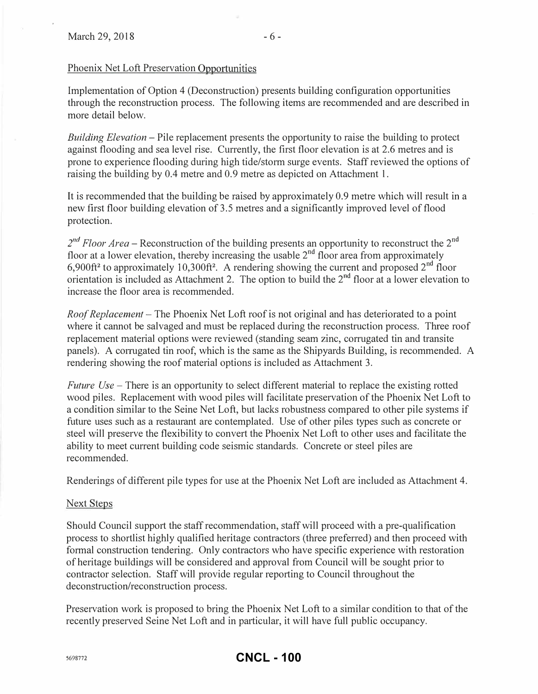# Phoenix Net Loft Preservation Opportunities

Implementation of Option 4 (Deconstruction) presents building configuration opportunities through the reconstruction process. The following items are recommended and are described in more detail below.

Building Elevation – Pile replacement presents the opportunity to raise the building to protect against flooding and sea level rise. Currently, the first floor elevation is at 2.6 metres and is prone to experience flooding during high tide/storm surge events. Staff reviewed the options of raising the building by 0.4 metre and 0.9 metre as depicted on Attachment 1.

It is recommended that the building be raised by approximately 0.9 metre which will result in a new first floor building elevation of 3.5 metres and a significantly improved level of flood protection.

 $2^{nd}$  Floor Area – Reconstruction of the building presents an opportunity to reconstruct the  $2^{nd}$ floor at a lower elevation, thereby increasing the usable  $2<sup>nd</sup>$  floor area from approximately 6,900ft<sup>2</sup> to approximately 10,300ft<sup>2</sup>. A rendering showing the current and proposed  $2^{nd}$  floor orientation is included as Attachment 2. The option to build the  $2<sup>nd</sup>$  floor at a lower elevation to increase the floor area is recommended.

Roof Replacement – The Phoenix Net Loft roof is not original and has deteriorated to a point where it cannot be salvaged and must be replaced during the reconstruction process. Three roof replacement material options were reviewed (standing seam zinc, corrugated tin and transite panels). A corrugated tin roof, which is the same as the Shipyards Building, is recommended. A rendering showing the roof material options is included as Attachment 3.

Future  $Use$  – There is an opportunity to select different material to replace the existing rotted wood piles. Replacement with wood piles will facilitate preservation of the Phoenix Net Loft to a condition similar to the Seine Net Loft, but lacks robustness compared to other pile systems if future uses such as a restaurant are contemplated. Use of other piles types such as concrete or steel will preserve the flexibility to convert the Phoenix Net Loft to other uses and facilitate the ability to meet current building code seismic standards. Concrete or steel piles are. recommended.

Renderings of different pile types for use at the Phoenix Net Loft are included as Attachment 4.

# Next Steps

Should Council support the staff recommendation, staff will proceed with a pre-qualification process to shortlist highly qualified heritage contractors (three preferred) and then proceed with formal construction tendering. Only contractors who have specific experience with restoration of heritage buildings will be considered and approval from Council will be sought prior to contractor selection. Staff will provide regular reporting to Council throughout the deconstruction/reconstruction process.

Preservation work is proposed to bring the Phoenix Net Loft to a similar condition to that of the recently preserved Seine Net Loft and in particular, it will have full public occupancy.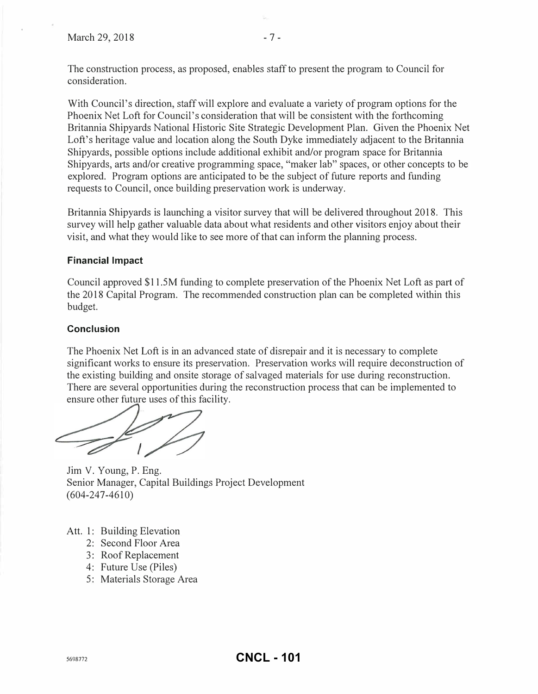The construction process, as proposed, enables staff to present the program to Council for consideration.

With Council's direction, staff will explore and evaluate a variety of program options for the Phoenix Net Loft for Council's consideration that will be consistent with the forthcoming Britannia Shipyards National Historic Site Strategic Development Plan. Given the Phoenix Net Loft's heritage value and location along the South Dyke immediately adjacent to the Britannia Shipyards, possible options include additional exhibit and/or program space for Britannia Shipyards, arts and/or creative programming space, "maker lab" spaces, or other concepts to be explored. Program options are anticipated to be the subject of future reports and funding requests to Council, once building preservation work is underway.

Britannia Shipyards is launching a visitor survey that will be delivered throughout 2018. This survey will help gather valuable data about what residents and other visitors enjoy about their visit, and what they would like to see more of that can inform the planning process.

# Financial Impact

Council approved \$11.5M funding to complete preservation of the Phoenix Net Loft as pati of the 20 18 Capital Program. The recommended construction plan can be completed within this budget.

# **Conclusion**

The Phoenix Net Loft is in an advanced state of disrepair and it is necessary to complete significant works to ensure its preservation. Preservation works will require deconstruction of the existing building and onsite storage of salvaged materials for use during reconstruction. There are several opportunities during the reconstruction process that can be implemented to ensure other future uses of this facility.

Jim V. Young, P. Eng. Senior Manager, Capital Buildings Project Development (604-247-4610)

- Att. 1: Building Elevation
	- 2: Second Floor Area
	- 3: Roof Replacement
	- 4: Future Use (Piles)
	- 5: Materials Storage Area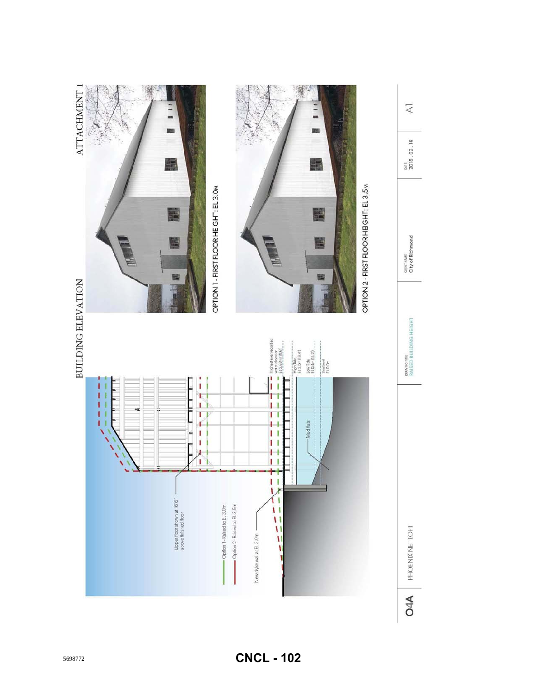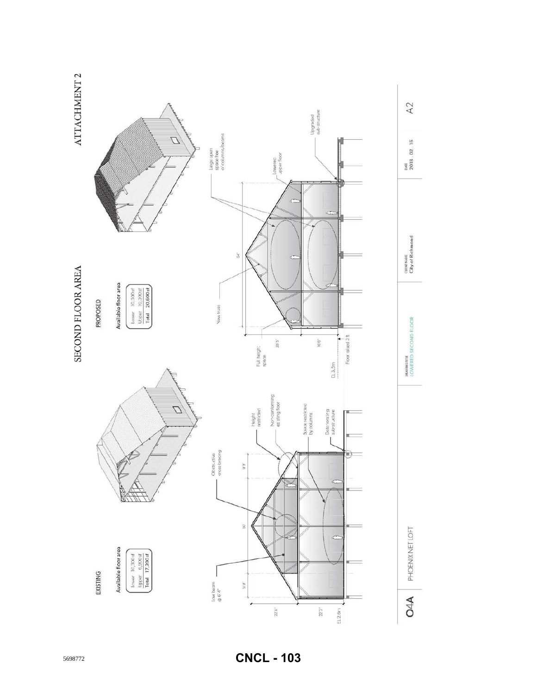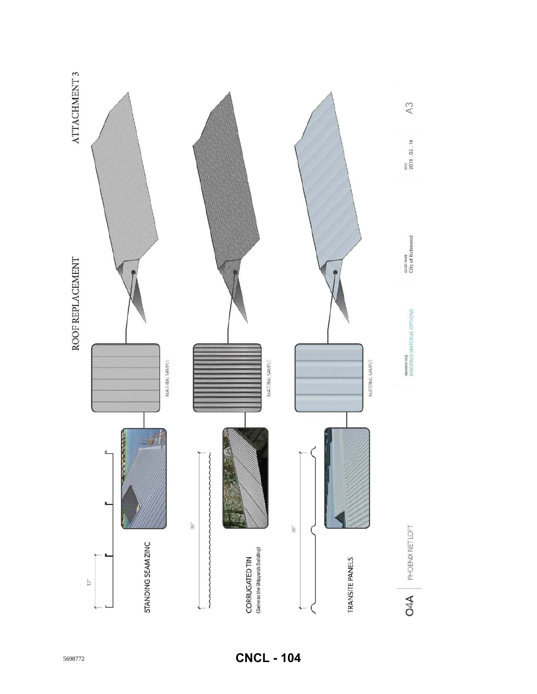

**CNCL - 104**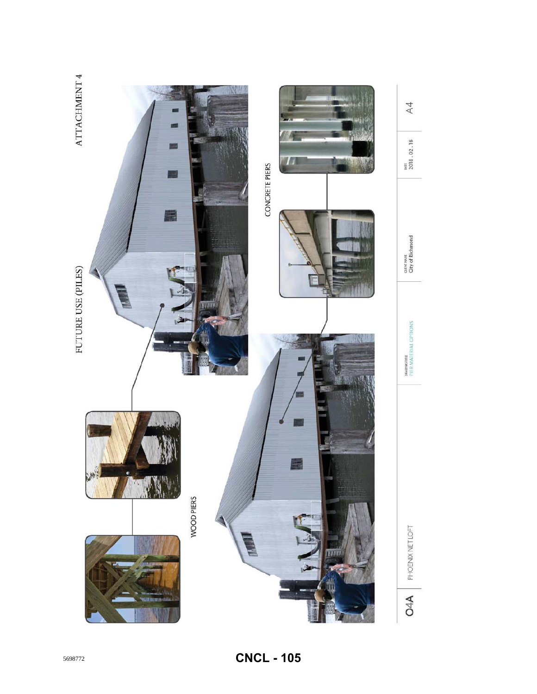